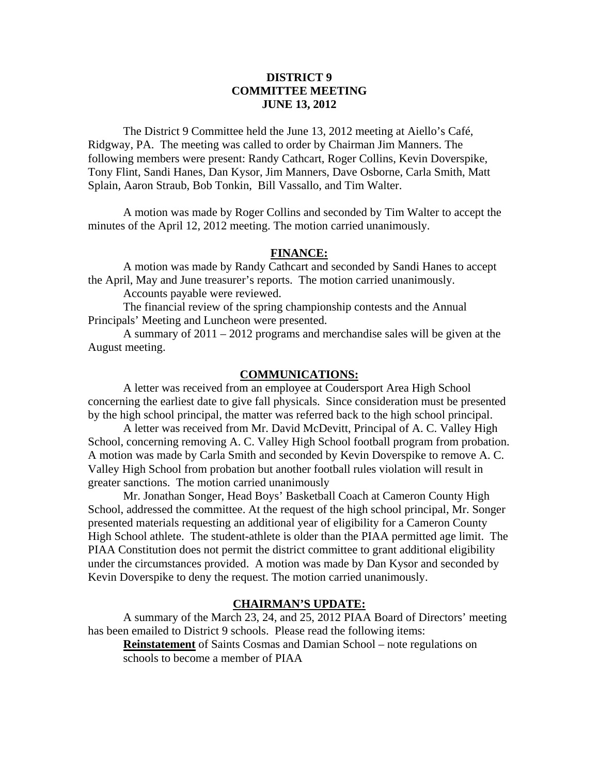# **DISTRICT 9 COMMITTEE MEETING JUNE 13, 2012**

 The District 9 Committee held the June 13, 2012 meeting at Aiello's Café, Ridgway, PA. The meeting was called to order by Chairman Jim Manners. The following members were present: Randy Cathcart, Roger Collins, Kevin Doverspike, Tony Flint, Sandi Hanes, Dan Kysor, Jim Manners, Dave Osborne, Carla Smith, Matt Splain, Aaron Straub, Bob Tonkin, Bill Vassallo, and Tim Walter.

 A motion was made by Roger Collins and seconded by Tim Walter to accept the minutes of the April 12, 2012 meeting. The motion carried unanimously.

### **FINANCE:**

A motion was made by Randy Cathcart and seconded by Sandi Hanes to accept the April, May and June treasurer's reports. The motion carried unanimously.

Accounts payable were reviewed.

 The financial review of the spring championship contests and the Annual Principals' Meeting and Luncheon were presented.

 A summary of 2011 – 2012 programs and merchandise sales will be given at the August meeting.

#### **COMMUNICATIONS:**

 A letter was received from an employee at Coudersport Area High School concerning the earliest date to give fall physicals. Since consideration must be presented by the high school principal, the matter was referred back to the high school principal.

 A letter was received from Mr. David McDevitt, Principal of A. C. Valley High School, concerning removing A. C. Valley High School football program from probation. A motion was made by Carla Smith and seconded by Kevin Doverspike to remove A. C. Valley High School from probation but another football rules violation will result in greater sanctions. The motion carried unanimously

 Mr. Jonathan Songer, Head Boys' Basketball Coach at Cameron County High School, addressed the committee. At the request of the high school principal, Mr. Songer presented materials requesting an additional year of eligibility for a Cameron County High School athlete. The student-athlete is older than the PIAA permitted age limit. The PIAA Constitution does not permit the district committee to grant additional eligibility under the circumstances provided. A motion was made by Dan Kysor and seconded by Kevin Doverspike to deny the request. The motion carried unanimously.

# **CHAIRMAN'S UPDATE:**

A summary of the March 23, 24, and 25, 2012 PIAA Board of Directors' meeting has been emailed to District 9 schools. Please read the following items:

**Reinstatement** of Saints Cosmas and Damian School – note regulations on schools to become a member of PIAA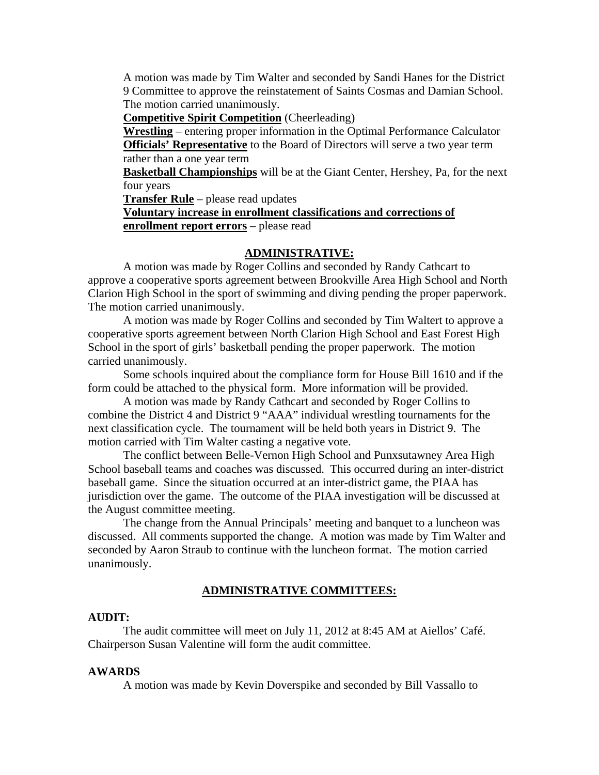A motion was made by Tim Walter and seconded by Sandi Hanes for the District 9 Committee to approve the reinstatement of Saints Cosmas and Damian School. The motion carried unanimously.

**Competitive Spirit Competition** (Cheerleading)

**Wrestling** – entering proper information in the Optimal Performance Calculator **Officials' Representative** to the Board of Directors will serve a two year term rather than a one year term

**Basketball Championships** will be at the Giant Center, Hershey, Pa, for the next four years

**Transfer Rule** – please read updates

**Voluntary increase in enrollment classifications and corrections of enrollment report errors** – please read

### **ADMINISTRATIVE:**

 A motion was made by Roger Collins and seconded by Randy Cathcart to approve a cooperative sports agreement between Brookville Area High School and North Clarion High School in the sport of swimming and diving pending the proper paperwork. The motion carried unanimously.

 A motion was made by Roger Collins and seconded by Tim Waltert to approve a cooperative sports agreement between North Clarion High School and East Forest High School in the sport of girls' basketball pending the proper paperwork. The motion carried unanimously.

 Some schools inquired about the compliance form for House Bill 1610 and if the form could be attached to the physical form. More information will be provided.

 A motion was made by Randy Cathcart and seconded by Roger Collins to combine the District 4 and District 9 "AAA" individual wrestling tournaments for the next classification cycle. The tournament will be held both years in District 9. The motion carried with Tim Walter casting a negative vote.

 The conflict between Belle-Vernon High School and Punxsutawney Area High School baseball teams and coaches was discussed. This occurred during an inter-district baseball game. Since the situation occurred at an inter-district game, the PIAA has jurisdiction over the game. The outcome of the PIAA investigation will be discussed at the August committee meeting.

 The change from the Annual Principals' meeting and banquet to a luncheon was discussed. All comments supported the change. A motion was made by Tim Walter and seconded by Aaron Straub to continue with the luncheon format. The motion carried unanimously.

#### **ADMINISTRATIVE COMMITTEES:**

#### **AUDIT:**

 The audit committee will meet on July 11, 2012 at 8:45 AM at Aiellos' Café. Chairperson Susan Valentine will form the audit committee.

#### **AWARDS**

A motion was made by Kevin Doverspike and seconded by Bill Vassallo to